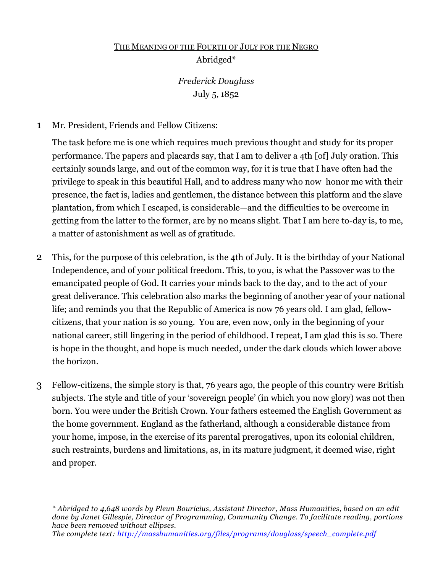# THE MEANING OF THE FOURTH OF JULY FOR THE NEGRO Abridged\*

## *Frederick Douglass* July 5, 1852

1 Mr. President, Friends and Fellow Citizens:

The task before me is one which requires much previous thought and study for its proper performance. The papers and placards say, that I am to deliver a 4th [of] July oration. This certainly sounds large, and out of the common way, for it is true that I have often had the privilege to speak in this beautiful Hall, and to address many who now honor me with their presence, the fact is, ladies and gentlemen, the distance between this platform and the slave plantation, from which I escaped, is considerable—and the difficulties to be overcome in getting from the latter to the former, are by no means slight. That I am here to-day is, to me, a matter of astonishment as well as of gratitude.

- 2 This, for the purpose of this celebration, is the 4th of July. It is the birthday of your National Independence, and of your political freedom. This, to you, is what the Passover was to the emancipated people of God. It carries your minds back to the day, and to the act of your great deliverance. This celebration also marks the beginning of another year of your national life; and reminds you that the Republic of America is now 76 years old. I am glad, fellowcitizens, that your nation is so young. You are, even now, only in the beginning of your national career, still lingering in the period of childhood. I repeat, I am glad this is so. There is hope in the thought, and hope is much needed, under the dark clouds which lower above the horizon.
- 3 Fellow-citizens, the simple story is that, 76 years ago, the people of this country were British subjects. The style and title of your 'sovereign people' (in which you now glory) was not then born. You were under the British Crown. Your fathers esteemed the English Government as the home government. England as the fatherland, although a considerable distance from your home, impose, in the exercise of its parental prerogatives, upon its colonial children, such restraints, burdens and limitations, as, in its mature judgment, it deemed wise, right and proper.

*\* Abridged to 4,648 words by Pleun Bouricius, Assistant Director, Mass Humanities, based on an edit done by Janet Gillespie, Director of Programming, Community Change. To facilitate reading, portions have been removed without ellipses. The complete text: http://masshumanities.org/files/programs/douglass/speech\_complete.pdf*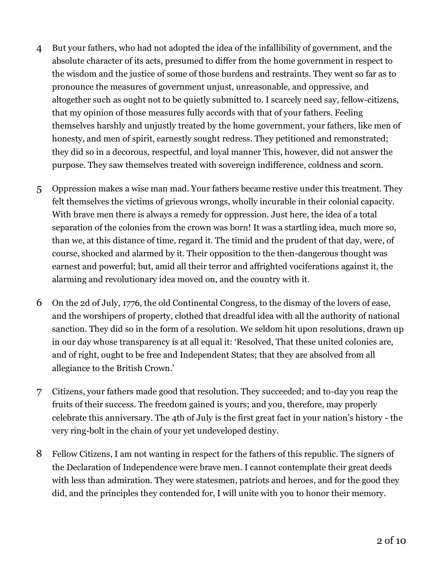- 4 But your fathers, who had not adopted the idea of the infallibility of government, and the absolute character of its acts, presumed to differ from the home government in respect to the wisdom and the justice of some of those burdens and restraints. They went so far as to pronounce the measures of government unjust, unreasonable, and oppressive, and altogether such as ought not to be quietly submitted to. I scarcely need say, fellow-citizens, that my opinion of those measures fully accords with that of your fathers. Feeling themselves harshly and unjustly treated by the home government, your fathers, like men of honesty, and men of spirit, earnestly sought redress. They petitioned and remonstrated; they did so in a decorous, respectful, and loyal manner This, however, did not answer the purpose. They saw themselves treated with sovereign indifference, coldness and scorn.
- 5 Oppression makes a wise man mad. Your fathers became restive under this treatment. They felt themselves the victims of grievous wrongs, wholly incurable in their colonial capacity. With brave men there is always a remedy for oppression. Just here, the idea of a total separation of the colonies from the crown was born! It was a startling idea, much more so, than we, at this distance of time, regard it. The timid and the prudent of that day, were, of course, shocked and alarmed by it. Their opposition to the then-dangerous thought was earnest and powerful; but, amid all their terror and affrighted vociferations against it, the alarming and revolutionary idea moved on, and the country with it.
- 6 On the 2d of July, 1776, the old Continental Congress, to the dismay of the lovers of ease, and the worshipers of property, clothed that dreadful idea with all the authority of national sanction. They did so in the form of a resolution. We seldom hit upon resolutions, drawn up in our day whose transparency is at all equal it: 'Resolved, That these united colonies are, and of right, ought to be free and Independent States; that they are absolved from all allegiance to the British Crown.'
- 7 Citizens, your fathers made good that resolution. They succeeded; and to-day you reap the fruits of their success. The freedom gained is yours; and you, therefore, may properly celebrate this anniversary. The 4th of July is the first great fact in your nation's history - the very ring-bolt in the chain of your yet undeveloped destiny.
- 8 Fellow Citizens, I am not wanting in respect for the fathers of this republic. The signers of the Declaration of Independence were brave men. I cannot contemplate their great deeds with less than admiration. They were statesmen, patriots and heroes, and for the good they did, and the principles they contended for, I will unite with you to honor their memory.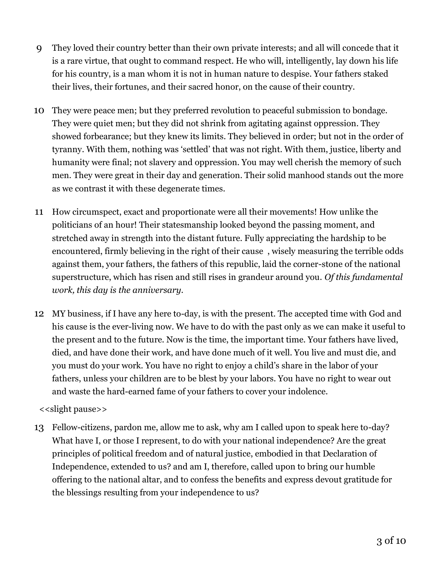- 9 They loved their country better than their own private interests; and all will concede that it is a rare virtue, that ought to command respect. He who will, intelligently, lay down his life for his country, is a man whom it is not in human nature to despise. Your fathers staked their lives, their fortunes, and their sacred honor, on the cause of their country.
- 10 They were peace men; but they preferred revolution to peaceful submission to bondage. They were quiet men; but they did not shrink from agitating against oppression. They showed forbearance; but they knew its limits. They believed in order; but not in the order of tyranny. With them, nothing was 'settled' that was not right. With them, justice, liberty and humanity were final; not slavery and oppression. You may well cherish the memory of such men. They were great in their day and generation. Their solid manhood stands out the more as we contrast it with these degenerate times.
- 11 How circumspect, exact and proportionate were all their movements! How unlike the politicians of an hour! Their statesmanship looked beyond the passing moment, and stretched away in strength into the distant future. Fully appreciating the hardship to be encountered, firmly believing in the right of their cause , wisely measuring the terrible odds against them, your fathers, the fathers of this republic, laid the corner-stone of the national superstructure, which has risen and still rises in grandeur around you. *Of this fundamental work, this day is the anniversary.*
- 12 MY business, if I have any here to-day, is with the present. The accepted time with God and his cause is the ever-living now. We have to do with the past only as we can make it useful to the present and to the future. Now is the time, the important time. Your fathers have lived, died, and have done their work, and have done much of it well. You live and must die, and you must do your work. You have no right to enjoy a child's share in the labor of your fathers, unless your children are to be blest by your labors. You have no right to wear out and waste the hard-earned fame of your fathers to cover your indolence.

#### <<slight pause>>

13 Fellow-citizens, pardon me, allow me to ask, why am I called upon to speak here to-day? What have I, or those I represent, to do with your national independence? Are the great principles of political freedom and of natural justice, embodied in that Declaration of Independence, extended to us? and am I, therefore, called upon to bring our humble offering to the national altar, and to confess the benefits and express devout gratitude for the blessings resulting from your independence to us?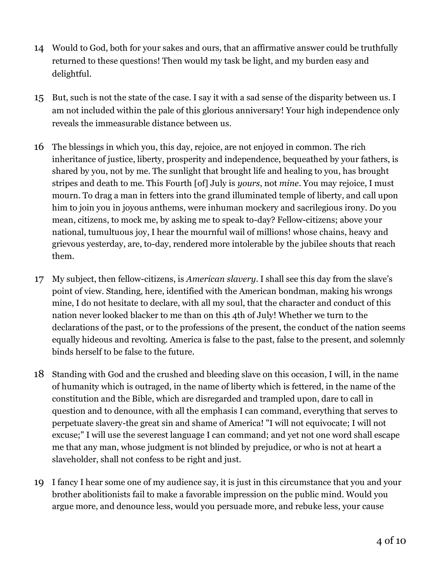- 14 Would to God, both for your sakes and ours, that an affirmative answer could be truthfully returned to these questions! Then would my task be light, and my burden easy and delightful.
- 15 But, such is not the state of the case. I say it with a sad sense of the disparity between us. I am not included within the pale of this glorious anniversary! Your high independence only reveals the immeasurable distance between us.
- 16 The blessings in which you, this day, rejoice, are not enjoyed in common. The rich inheritance of justice, liberty, prosperity and independence, bequeathed by your fathers, is shared by you, not by me. The sunlight that brought life and healing to you, has brought stripes and death to me. This Fourth [of] July is *yours*, not *mine*. You may rejoice, I must mourn. To drag a man in fetters into the grand illuminated temple of liberty, and call upon him to join you in joyous anthems, were inhuman mockery and sacrilegious irony. Do you mean, citizens, to mock me, by asking me to speak to-day? Fellow-citizens; above your national, tumultuous joy, I hear the mournful wail of millions! whose chains, heavy and grievous yesterday, are, to-day, rendered more intolerable by the jubilee shouts that reach them.
- 17 My subject, then fellow-citizens, is *American slavery*. I shall see this day from the slave's point of view. Standing, here, identified with the American bondman, making his wrongs mine, I do not hesitate to declare, with all my soul, that the character and conduct of this nation never looked blacker to me than on this 4th of July! Whether we turn to the declarations of the past, or to the professions of the present, the conduct of the nation seems equally hideous and revolting. America is false to the past, false to the present, and solemnly binds herself to be false to the future.
- 18 Standing with God and the crushed and bleeding slave on this occasion, I will, in the name of humanity which is outraged, in the name of liberty which is fettered, in the name of the constitution and the Bible, which are disregarded and trampled upon, dare to call in question and to denounce, with all the emphasis I can command, everything that serves to perpetuate slavery-the great sin and shame of America! "I will not equivocate; I will not excuse;" I will use the severest language I can command; and yet not one word shall escape me that any man, whose judgment is not blinded by prejudice, or who is not at heart a slaveholder, shall not confess to be right and just.
- 19 I fancy I hear some one of my audience say, it is just in this circumstance that you and your brother abolitionists fail to make a favorable impression on the public mind. Would you argue more, and denounce less, would you persuade more, and rebuke less, your cause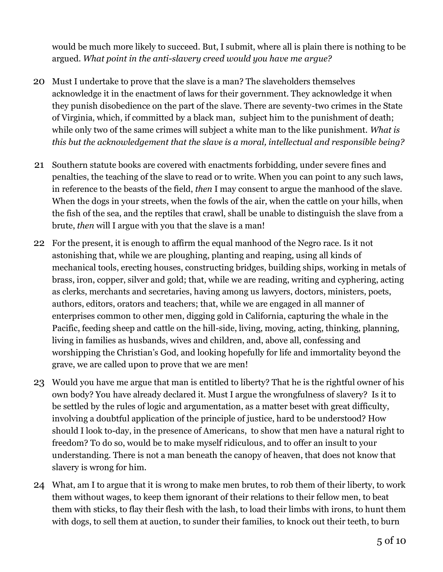would be much more likely to succeed. But, I submit, where all is plain there is nothing to be argued. *What point in the anti-slavery creed would you have me argue?*

- 20 Must I undertake to prove that the slave is a man? The slaveholders themselves acknowledge it in the enactment of laws for their government. They acknowledge it when they punish disobedience on the part of the slave. There are seventy-two crimes in the State of Virginia, which, if committed by a black man, subject him to the punishment of death; while only two of the same crimes will subject a white man to the like punishment. *What is this but the acknowledgement that the slave is a moral, intellectual and responsible being?*
- 21 Southern statute books are covered with enactments forbidding, under severe fines and penalties, the teaching of the slave to read or to write. When you can point to any such laws, in reference to the beasts of the field, *then* I may consent to argue the manhood of the slave. When the dogs in your streets, when the fowls of the air, when the cattle on your hills, when the fish of the sea, and the reptiles that crawl, shall be unable to distinguish the slave from a brute, *then* will I argue with you that the slave is a man!
- 22 For the present, it is enough to affirm the equal manhood of the Negro race. Is it not astonishing that, while we are ploughing, planting and reaping, using all kinds of mechanical tools, erecting houses, constructing bridges, building ships, working in metals of brass, iron, copper, silver and gold; that, while we are reading, writing and cyphering, acting as clerks, merchants and secretaries, having among us lawyers, doctors, ministers, poets, authors, editors, orators and teachers; that, while we are engaged in all manner of enterprises common to other men, digging gold in California, capturing the whale in the Pacific, feeding sheep and cattle on the hill-side, living, moving, acting, thinking, planning, living in families as husbands, wives and children, and, above all, confessing and worshipping the Christian's God, and looking hopefully for life and immortality beyond the grave, we are called upon to prove that we are men!
- 23 Would you have me argue that man is entitled to liberty? That he is the rightful owner of his own body? You have already declared it. Must I argue the wrongfulness of slavery? Is it to be settled by the rules of logic and argumentation, as a matter beset with great difficulty, involving a doubtful application of the principle of justice, hard to be understood? How should I look to-day, in the presence of Americans, to show that men have a natural right to freedom? To do so, would be to make myself ridiculous, and to offer an insult to your understanding. There is not a man beneath the canopy of heaven, that does not know that slavery is wrong for him.
- 24 What, am I to argue that it is wrong to make men brutes, to rob them of their liberty, to work them without wages, to keep them ignorant of their relations to their fellow men, to beat them with sticks, to flay their flesh with the lash, to load their limbs with irons, to hunt them with dogs, to sell them at auction, to sunder their families, to knock out their teeth, to burn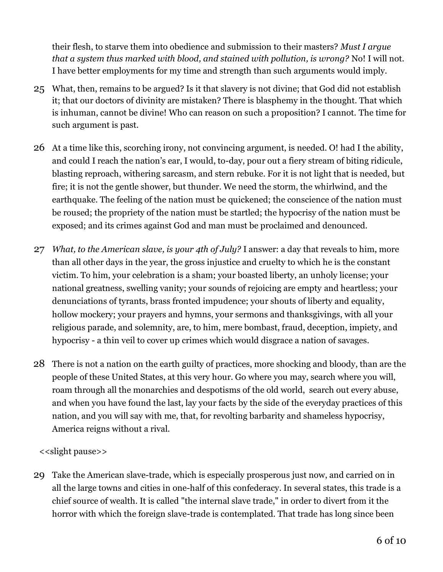their flesh, to starve them into obedience and submission to their masters? *Must I argue that a system thus marked with blood, and stained with pollution, is wrong?* No! I will not. I have better employments for my time and strength than such arguments would imply.

- 25 What, then, remains to be argued? Is it that slavery is not divine; that God did not establish it; that our doctors of divinity are mistaken? There is blasphemy in the thought. That which is inhuman, cannot be divine! Who can reason on such a proposition? I cannot. The time for such argument is past.
- 26 At a time like this, scorching irony, not convincing argument, is needed. O! had I the ability, and could I reach the nation's ear, I would, to-day, pour out a fiery stream of biting ridicule, blasting reproach, withering sarcasm, and stern rebuke. For it is not light that is needed, but fire; it is not the gentle shower, but thunder. We need the storm, the whirlwind, and the earthquake. The feeling of the nation must be quickened; the conscience of the nation must be roused; the propriety of the nation must be startled; the hypocrisy of the nation must be exposed; and its crimes against God and man must be proclaimed and denounced.
- 27 *What, to the American slave, is your 4th of July?* I answer: a day that reveals to him, more than all other days in the year, the gross injustice and cruelty to which he is the constant victim. To him, your celebration is a sham; your boasted liberty, an unholy license; your national greatness, swelling vanity; your sounds of rejoicing are empty and heartless; your denunciations of tyrants, brass fronted impudence; your shouts of liberty and equality, hollow mockery; your prayers and hymns, your sermons and thanksgivings, with all your religious parade, and solemnity, are, to him, mere bombast, fraud, deception, impiety, and hypocrisy - a thin veil to cover up crimes which would disgrace a nation of savages.
- 28 There is not a nation on the earth guilty of practices, more shocking and bloody, than are the people of these United States, at this very hour. Go where you may, search where you will, roam through all the monarchies and despotisms of the old world, search out every abuse, and when you have found the last, lay your facts by the side of the everyday practices of this nation, and you will say with me, that, for revolting barbarity and shameless hypocrisy, America reigns without a rival.

### <<slight pause>>

29 Take the American slave-trade, which is especially prosperous just now, and carried on in all the large towns and cities in one-half of this confederacy. In several states, this trade is a chief source of wealth. It is called "the internal slave trade," in order to divert from it the horror with which the foreign slave-trade is contemplated. That trade has long since been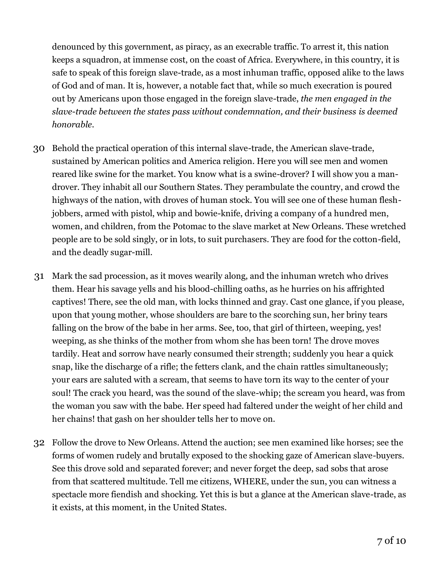denounced by this government, as piracy, as an execrable traffic. To arrest it, this nation keeps a squadron, at immense cost, on the coast of Africa. Everywhere, in this country, it is safe to speak of this foreign slave-trade, as a most inhuman traffic, opposed alike to the laws of God and of man. It is, however, a notable fact that, while so much execration is poured out by Americans upon those engaged in the foreign slave-trade, *the men engaged in the slave-trade between the states pass without condemnation, and their business is deemed honorable.*

- 30 Behold the practical operation of this internal slave-trade, the American slave-trade, sustained by American politics and America religion. Here you will see men and women reared like swine for the market. You know what is a swine-drover? I will show you a mandrover. They inhabit all our Southern States. They perambulate the country, and crowd the highways of the nation, with droves of human stock. You will see one of these human fleshjobbers, armed with pistol, whip and bowie-knife, driving a company of a hundred men, women, and children, from the Potomac to the slave market at New Orleans. These wretched people are to be sold singly, or in lots, to suit purchasers. They are food for the cotton-field, and the deadly sugar-mill.
- 31 Mark the sad procession, as it moves wearily along, and the inhuman wretch who drives them. Hear his savage yells and his blood-chilling oaths, as he hurries on his affrighted captives! There, see the old man, with locks thinned and gray. Cast one glance, if you please, upon that young mother, whose shoulders are bare to the scorching sun, her briny tears falling on the brow of the babe in her arms. See, too, that girl of thirteen, weeping, yes! weeping, as she thinks of the mother from whom she has been torn! The drove moves tardily. Heat and sorrow have nearly consumed their strength; suddenly you hear a quick snap, like the discharge of a rifle; the fetters clank, and the chain rattles simultaneously; your ears are saluted with a scream, that seems to have torn its way to the center of your soul! The crack you heard, was the sound of the slave-whip; the scream you heard, was from the woman you saw with the babe. Her speed had faltered under the weight of her child and her chains! that gash on her shoulder tells her to move on.
- 32 Follow the drove to New Orleans. Attend the auction; see men examined like horses; see the forms of women rudely and brutally exposed to the shocking gaze of American slave-buyers. See this drove sold and separated forever; and never forget the deep, sad sobs that arose from that scattered multitude. Tell me citizens, WHERE, under the sun, you can witness a spectacle more fiendish and shocking. Yet this is but a glance at the American slave-trade, as it exists, at this moment, in the United States.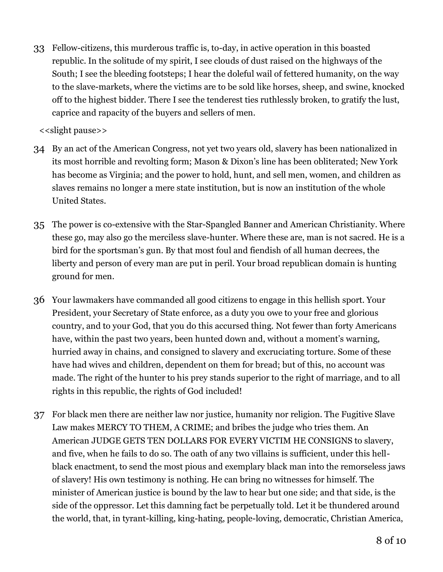33 Fellow-citizens, this murderous traffic is, to-day, in active operation in this boasted republic. In the solitude of my spirit, I see clouds of dust raised on the highways of the South; I see the bleeding footsteps; I hear the doleful wail of fettered humanity, on the way to the slave-markets, where the victims are to be sold like horses, sheep, and swine, knocked off to the highest bidder. There I see the tenderest ties ruthlessly broken, to gratify the lust, caprice and rapacity of the buyers and sellers of men.

<<slight pause>>

- 34 By an act of the American Congress, not yet two years old, slavery has been nationalized in its most horrible and revolting form; Mason & Dixon's line has been obliterated; New York has become as Virginia; and the power to hold, hunt, and sell men, women, and children as slaves remains no longer a mere state institution, but is now an institution of the whole United States.
- 35 The power is co-extensive with the Star-Spangled Banner and American Christianity. Where these go, may also go the merciless slave-hunter. Where these are, man is not sacred. He is a bird for the sportsman's gun. By that most foul and fiendish of all human decrees, the liberty and person of every man are put in peril. Your broad republican domain is hunting ground for men.
- 36 Your lawmakers have commanded all good citizens to engage in this hellish sport. Your President, your Secretary of State enforce, as a duty you owe to your free and glorious country, and to your God, that you do this accursed thing. Not fewer than forty Americans have, within the past two years, been hunted down and, without a moment's warning, hurried away in chains, and consigned to slavery and excruciating torture. Some of these have had wives and children, dependent on them for bread; but of this, no account was made. The right of the hunter to his prey stands superior to the right of marriage, and to all rights in this republic, the rights of God included!
- 37 For black men there are neither law nor justice, humanity nor religion. The Fugitive Slave Law makes MERCY TO THEM, A CRIME; and bribes the judge who tries them. An American JUDGE GETS TEN DOLLARS FOR EVERY VICTIM HE CONSIGNS to slavery, and five, when he fails to do so. The oath of any two villains is sufficient, under this hellblack enactment, to send the most pious and exemplary black man into the remorseless jaws of slavery! His own testimony is nothing. He can bring no witnesses for himself. The minister of American justice is bound by the law to hear but one side; and that side, is the side of the oppressor. Let this damning fact be perpetually told. Let it be thundered around the world, that, in tyrant-killing, king-hating, people-loving, democratic, Christian America,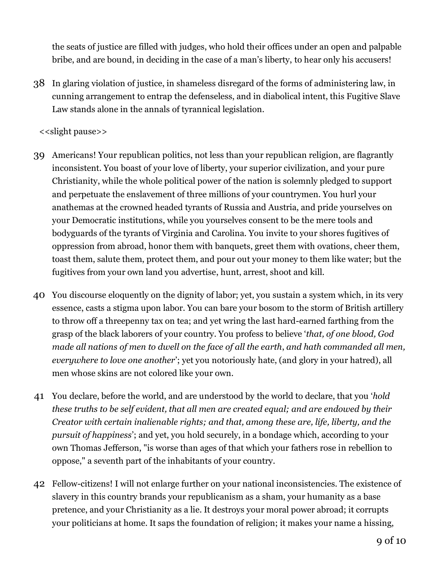the seats of justice are filled with judges, who hold their offices under an open and palpable bribe, and are bound, in deciding in the case of a man's liberty, to hear only his accusers!

38 In glaring violation of justice, in shameless disregard of the forms of administering law, in cunning arrangement to entrap the defenseless, and in diabolical intent, this Fugitive Slave Law stands alone in the annals of tyrannical legislation.

#### <<slight pause>>

- 39 Americans! Your republican politics, not less than your republican religion, are flagrantly inconsistent. You boast of your love of liberty, your superior civilization, and your pure Christianity, while the whole political power of the nation is solemnly pledged to support and perpetuate the enslavement of three millions of your countrymen. You hurl your anathemas at the crowned headed tyrants of Russia and Austria, and pride yourselves on your Democratic institutions, while you yourselves consent to be the mere tools and bodyguards of the tyrants of Virginia and Carolina. You invite to your shores fugitives of oppression from abroad, honor them with banquets, greet them with ovations, cheer them, toast them, salute them, protect them, and pour out your money to them like water; but the fugitives from your own land you advertise, hunt, arrest, shoot and kill.
- 40 You discourse eloquently on the dignity of labor; yet, you sustain a system which, in its very essence, casts a stigma upon labor. You can bare your bosom to the storm of British artillery to throw off a threepenny tax on tea; and yet wring the last hard-earned farthing from the grasp of the black laborers of your country. You profess to believe '*that, of one blood, God made all nations of men to dwell on the face of all the earth*, *and hath commanded all men, everywhere to love one another*'; yet you notoriously hate, (and glory in your hatred), all men whose skins are not colored like your own.
- 41 You declare, before the world, and are understood by the world to declare, that you '*hold these truths to be self evident, that all men are created equal; and are endowed by their Creator with certain inalienable rights; and that, among these are, life, liberty, and the pursuit of happiness*'; and yet, you hold securely, in a bondage which, according to your own Thomas Jefferson, "is worse than ages of that which your fathers rose in rebellion to oppose," a seventh part of the inhabitants of your country.
- 42 Fellow-citizens! I will not enlarge further on your national inconsistencies. The existence of slavery in this country brands your republicanism as a sham, your humanity as a base pretence, and your Christianity as a lie. It destroys your moral power abroad; it corrupts your politicians at home. It saps the foundation of religion; it makes your name a hissing,